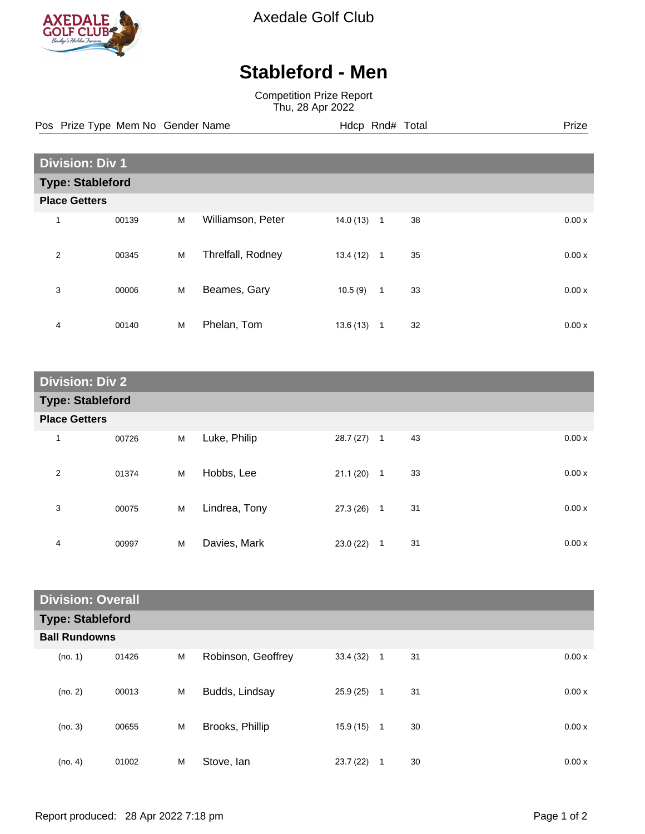

Axedale Golf Club

## **Stableford - Men**

Competition Prize Report Thu, 28 Apr 2022

Pos Prize Type Mem No Gender Name **Hdcp Rnd# Total** Prize Prize

| <b>Division: Div 1</b>  |                      |   |                   |          |              |    |  |       |  |
|-------------------------|----------------------|---|-------------------|----------|--------------|----|--|-------|--|
| <b>Type: Stableford</b> |                      |   |                   |          |              |    |  |       |  |
|                         | <b>Place Getters</b> |   |                   |          |              |    |  |       |  |
| 1                       | 00139                | M | Williamson, Peter | 14.0(13) | $\mathbf{1}$ | 38 |  | 0.00x |  |
| $\overline{2}$          | 00345                | M | Threlfall, Rodney | 13.4(12) | $\mathbf{1}$ | 35 |  | 0.00x |  |
| 3                       | 00006                | M | Beames, Gary      | 10.5(9)  | $\mathbf{1}$ | 33 |  | 0.00x |  |
| 4                       | 00140                | M | Phelan, Tom       | 13.6(13) | $\mathbf{1}$ | 32 |  | 0.00x |  |

| <b>Division: Div 2</b>  |                      |   |               |              |              |    |       |  |  |  |
|-------------------------|----------------------|---|---------------|--------------|--------------|----|-------|--|--|--|
| <b>Type: Stableford</b> |                      |   |               |              |              |    |       |  |  |  |
|                         | <b>Place Getters</b> |   |               |              |              |    |       |  |  |  |
| $\mathbf{1}$            | 00726                | M | Luke, Philip  | $28.7(27)$ 1 |              | 43 | 0.00x |  |  |  |
| $\overline{2}$          | 01374                | M | Hobbs, Lee    | 21.1(20)     | $\mathbf{1}$ | 33 | 0.00x |  |  |  |
| 3                       | 00075                | M | Lindrea, Tony | 27.3(26)     | $\mathbf{1}$ | 31 | 0.00x |  |  |  |
| 4                       | 00997                | M | Davies, Mark  | 23.0(22)     | 1            | 31 | 0.00x |  |  |  |

| <b>Division: Overall</b> |                      |   |                    |          |              |    |  |       |  |  |
|--------------------------|----------------------|---|--------------------|----------|--------------|----|--|-------|--|--|
| <b>Type: Stableford</b>  |                      |   |                    |          |              |    |  |       |  |  |
|                          | <b>Ball Rundowns</b> |   |                    |          |              |    |  |       |  |  |
| (no. 1)                  | 01426                | M | Robinson, Geoffrey | 33.4(32) | $\mathbf{1}$ | 31 |  | 0.00x |  |  |
| (no. 2)                  | 00013                | M | Budds, Lindsay     | 25.9(25) | $\mathbf{1}$ | 31 |  | 0.00x |  |  |
| (no. 3)                  | 00655                | M | Brooks, Phillip    | 15.9(15) | $\mathbf{1}$ | 30 |  | 0.00x |  |  |
| (no. 4)                  | 01002                | M | Stove, Ian         | 23.7(22) | 1            | 30 |  | 0.00x |  |  |